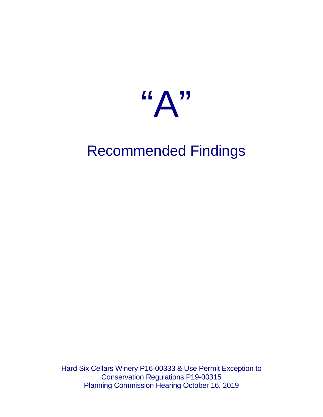

# Recommended Findings

Hard Six Cellars Winery P16-00333 & Use Permit Exception to Conservation Regulations P19-00315 Planning Commission Hearing October 16, 2019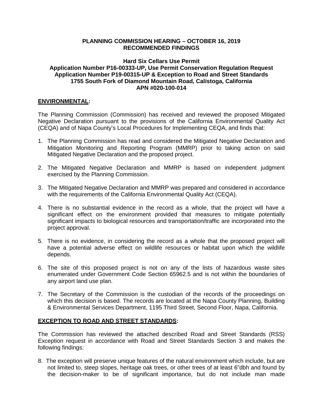# **PLANNING COMMISSION HEARING – OCTOBER 16, 2019 RECOMMENDED FINDINGS**

# **Hard Six Cellars Use Permit Application Number P16-00333-UP, Use Permit Conservation Regulation Request Application Number P19-00315-UP & Exception to Road and Street Standards 1755 South Fork of Diamond Mountain Road, Calistoga, California APN #020-100-014**

## **ENVIRONMENTAL:**

The Planning Commission (Commission) has received and reviewed the proposed Mitigated Negative Declaration pursuant to the provisions of the California Environmental Quality Act (CEQA) and of Napa County's Local Procedures for Implementing CEQA, and finds that:

- 1. The Planning Commission has read and considered the Mitigated Negative Declaration and Mitigation Monitoring and Reporting Program (MMRP) prior to taking action on said Mitigated Negative Declaration and the proposed project.
- 2. The Mitigated Negative Declaration and MMRP is based on independent judgment exercised by the Planning Commission.
- 3. The Mitigated Negative Declaration and MMRP was prepared and considered in accordance with the requirements of the California Environmental Quality Act (CEQA).
- 4. There is no substantial evidence in the record as a whole, that the project will have a significant effect on the environment provided that measures to mitigate potentially significant impacts to biological resources and transportation/traffic are incorporated into the project approval.
- 5. There is no evidence, in considering the record as a whole that the proposed project will have a potential adverse effect on wildlife resources or habitat upon which the wildlife depends.
- 6. The site of this proposed project is not on any of the lists of hazardous waste sites enumerated under Government Code Section 65962.5 and is not within the boundaries of any airport land use plan.
- 7. The Secretary of the Commission is the custodian of the records of the proceedings on which this decision is based. The records are located at the Napa County Planning, Building & Environmental Services Department, 1195 Third Street, Second Floor, Napa, California.

## **EXCEPTION TO ROAD AND STREET STANDARDS:**

The Commission has reviewed the attached described Road and Street Standards (RSS) Exception request in accordance with Road and Street Standards Section 3 and makes the following findings:

8. The exception will preserve unique features of the natural environment which include, but are not limited to, steep slopes, heritage oak trees, or other trees of at least 6"dbh and found by the decision-maker to be of significant importance, but do not include man made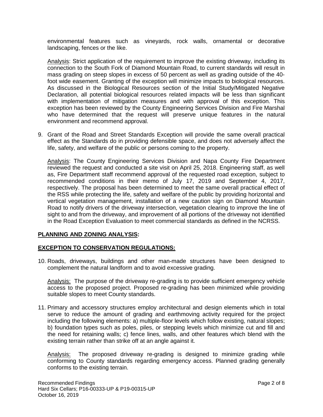environmental features such as vineyards, rock walls, ornamental or decorative landscaping, fences or the like.

Analysis: Strict application of the requirement to improve the existing driveway, including its connection to the South Fork of Diamond Mountain Road, to current standards will result in mass grading on steep slopes in excess of 50 percent as well as grading outside of the 40 foot wide easement. Granting of the exception will minimize impacts to biological resources. As discussed in the Biological Resources section of the Initial Study/Mitigated Negative Declaration, all potential biological resources related impacts will be less than significant with implementation of mitigation measures and with approval of this exception. This exception has been reviewed by the County Engineering Services Division and Fire Marshal who have determined that the request will preserve unique features in the natural environment and recommend approval.

9. Grant of the Road and Street Standards Exception will provide the same overall practical effect as the Standards do in providing defensible space, and does not adversely affect the life, safety, and welfare of the public or persons coming to the property.

Analysis: The County Engineering Services Division and Napa County Fire Department reviewed the request and conducted a site visit on April 25, 2018. Engineering staff, as well as, Fire Department staff recommend approval of the requested road exception, subject to recommended conditions in their memo of July 17, 2019 and September 4, 2017, respectively. The proposal has been determined to meet the same overall practical effect of the RSS while protecting the life, safety and welfare of the public by providing horizontal and vertical vegetation management, installation of a new caution sign on Diamond Mountain Road to notify drivers of the driveway intersection, vegetation clearing to improve the line of sight to and from the driveway, and improvement of all portions of the driveway not identified in the Road Exception Evaluation to meet commercial standards as defined in the NCRSS.

## **PLANNING AND ZONING ANALYSIS:**

# **EXCEPTION TO CONSERVATION REGULATIONS:**

10. Roads, driveways, buildings and other man-made structures have been designed to complement the natural landform and to avoid excessive grading.

Analysis: The purpose of the driveway re-grading is to provide sufficient emergency vehicle access to the proposed project. Proposed re-grading has been minimized while providing suitable slopes to meet County standards.

11. Primary and accessory structures employ architectural and design elements which in total serve to reduce the amount of grading and earthmoving activity required for the project including the following elements: a) multiple-floor levels which follow existing, natural slopes; b) foundation types such as poles, piles, or stepping levels which minimize cut and fill and the need for retaining walls; c) fence lines, walls, and other features which blend with the existing terrain rather than strike off at an angle against it.

Analysis: The proposed driveway re-grading is designed to minimize grading while conforming to County standards regarding emergency access. Planned grading generally conforms to the existing terrain.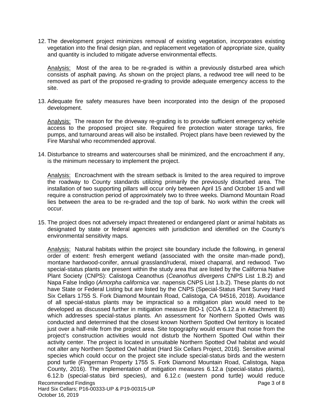12. The development project minimizes removal of existing vegetation, incorporates existing vegetation into the final design plan, and replacement vegetation of appropriate size, quality and quantity is included to mitigate adverse environmental effects.

Analysis: Most of the area to be re-graded is within a previously disturbed area which consists of asphalt paving. As shown on the project plans, a redwood tree will need to be removed as part of the proposed re-grading to provide adequate emergency access to the site.

13. Adequate fire safety measures have been incorporated into the design of the proposed development.

Analysis: The reason for the driveway re-grading is to provide sufficient emergency vehicle access to the proposed project site. Required fire protection water storage tanks, fire pumps, and turnaround areas will also be installed. Project plans have been reviewed by the Fire Marshal who recommended approval.

14. Disturbance to streams and watercourses shall be minimized, and the encroachment if any, is the minimum necessary to implement the project.

Analysis: Encroachment with the stream setback is limited to the area required to improve the roadway to County standards utilizing primarily the previously disturbed area. The installation of two supporting pillars will occur only between April 15 and October 15 and will require a construction period of approximately two to three weeks. Diamond Mountain Road lies between the area to be re-graded and the top of bank. No work within the creek will occur.

15. The project does not adversely impact threatened or endangered plant or animal habitats as designated by state or federal agencies with jurisdiction and identified on the County's environmental sensitivity maps.

Recommended Findings **Page 3 of 8** and 2 of 8 Hard Six Cellars; P16-00333-UP & P19-00315-UP Analysis: Natural habitats within the project site boundary include the following, in general order of extent: fresh emergent wetland (associated with the onsite man-made pond), montane hardwood-conifer, annual grassland/ruderal, mixed chaparral, and redwood. Two special-status plants are present within the study area that are listed by the California Native Plant Society (CNPS): Calistoga Ceanothus (*Ceanothus divergens* CNPS List 1.B.2) and Napa False Indigo (*Amorpha californica* var. napensis CNPS List 1.b.2). These plants do not have State or Federal Listing but are listed by the CNPS (Special-Status Plant Survey Hard Six Cellars 1755 S. Fork Diamond Mountain Road, Calistoga, CA 94516, 2018). Avoidance of all special-status plants may be impractical so a mitigation plan would need to be developed as discussed further in mitigation measure BIO-1 (COA 6.12.a in Attachment B) which addresses special-status plants. An assessment for Northern Spotted Owls was conducted and determined that the closest known Northern Spotted Owl territory is located just over a half-mile from the project area. Site topography would ensure that noise from the project's construction activities would not disturb the Northern Spotted Owl within their activity center. The project is located in unsuitable Northern Spotted Owl habitat and would not alter any Northern Spotted Owl habitat (Hard Six Cellars Project, 2016). Sensitive animal species which could occur on the project site include special-status birds and the western pond turtle (Fingerman Property 1755 S. Fork Diamond Mountain Road, Calistoga, Napa County, 2016). The implementation of mitigation measures 6.12.a (special-status plants), 6.12.b (special-status bird species), and 6.12.c (western pond turtle) would reduce

October 16, 2019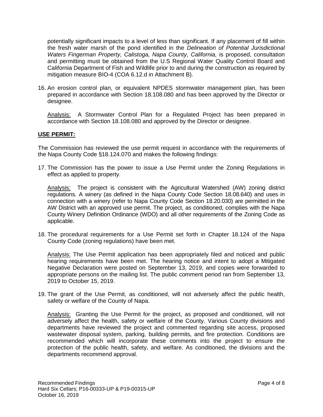potentially significant impacts to a level of less than significant. If any placement of fill within the fresh water marsh of the pond identified in the *Delineation of Potential Jurisdictional*  Waters Fingerman Property, Calistoga, Napa County, California, is proposed, consultation and permitting must be obtained from the U.S Regional Water Quality Control Board and California Department of Fish and Wildlife prior to and during the construction as required by mitigation measure BIO-4 (COA 6.12.d in Attachment B).

16. An erosion control plan, or equivalent NPDES stormwater management plan, has been prepared in accordance with Section 18.108.080 and has been approved by the Director or designee.

Analysis: A Stormwater Control Plan for a Regulated Project has been prepared in accordance with Section 18.108.080 and approved by the Director or designee.

# **USE PERMIT:**

The Commission has reviewed the use permit request in accordance with the requirements of the Napa County Code §18.124.070 and makes the following findings:

17. The Commission has the power to issue a Use Permit under the Zoning Regulations in effect as applied to property.

Analysis: The project is consistent with the Agricultural Watershed (AW) zoning district regulations. A winery (as defined in the Napa County Code Section 18.08.640) and uses in connection with a winery (refer to Napa County Code Section 18.20.030) are permitted in the AW District with an approved use permit. The project, as conditioned, complies with the Napa County Winery Definition Ordinance (WDO) and all other requirements of the Zoning Code as applicable.

18. The procedural requirements for a Use Permit set forth in Chapter 18.124 of the Napa County Code (zoning regulations) have been met.

Analysis: The Use Permit application has been appropriately filed and noticed and public hearing requirements have been met. The hearing notice and intent to adopt a Mitigated Negative Declaration were posted on September 13, 2019, and copies were forwarded to appropriate persons on the mailing list. The public comment period ran from September 13, 2019 to October 15, 2019.

19. The grant of the Use Permit, as conditioned, will not adversely affect the public health, safety or welfare of the County of Napa.

Analysis:Granting the Use Permit for the project, as proposed and conditioned, will not adversely affect the health, safety or welfare of the County. Various County divisions and departments have reviewed the project and commented regarding site access, proposed wastewater disposal system, parking, building permits, and fire protection. Conditions are recommended which will incorporate these comments into the project to ensure the protection of the public health, safety, and welfare. As conditioned, the divisions and the departments recommend approval.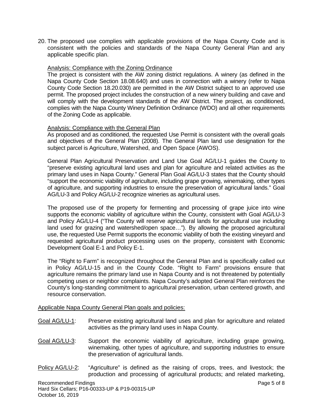20. The proposed use complies with applicable provisions of the Napa County Code and is consistent with the policies and standards of the Napa County General Plan and any applicable specific plan.

## Analysis: Compliance with the Zoning Ordinance

The project is consistent with the AW zoning district regulations. A winery (as defined in the Napa County Code Section 18.08.640) and uses in connection with a winery (refer to Napa County Code Section 18.20.030) are permitted in the AW District subject to an approved use permit. The proposed project includes the construction of a new winery building and cave and will comply with the development standards of the AW District. The project, as conditioned, complies with the Napa County Winery Definition Ordinance (WDO) and all other requirements of the Zoning Code as applicable.

# Analysis: Compliance with the General Plan

As proposed and as conditioned, the requested Use Permit is consistent with the overall goals and objectives of the General Plan (2008). The General Plan land use designation for the subject parcel is Agriculture, Watershed, and Open Space (AWOS).

General Plan Agricultural Preservation and Land Use Goal AG/LU-1 guides the County to "preserve existing agricultural land uses and plan for agriculture and related activities as the primary land uses in Napa County." General Plan Goal AG/LU-3 states that the County should "support the economic viability of agriculture, including grape growing, winemaking, other types of agriculture, and supporting industries to ensure the preservation of agricultural lands." Goal AG/LU-3 and Policy AG/LU-2 recognize wineries as agricultural uses.

The proposed use of the property for fermenting and processing of grape juice into wine supports the economic viability of agriculture within the County, consistent with Goal AG/LU-3 and Policy AG/LU-4 ("The County will reserve agricultural lands for agricultural use including land used for grazing and watershed/open space…"). By allowing the proposed agricultural use, the requested Use Permit supports the economic viability of both the existing vineyard and requested agricultural product processing uses on the property, consistent with Economic Development Goal E-1 and Policy E-1.

The "Right to Farm" is recognized throughout the General Plan and is specifically called out in Policy AG/LU-15 and in the County Code. "Right to Farm" provisions ensure that agriculture remains the primary land use in Napa County and is not threatened by potentially competing uses or neighbor complaints. Napa County's adopted General Plan reinforces the County's long-standing commitment to agricultural preservation, urban centered growth, and resource conservation.

## Applicable Napa County General Plan goals and policies:

- Goal AG/LU-1: Preserve existing agricultural land uses and plan for agriculture and related activities as the primary land uses in Napa County.
- Goal AG/LU-3: Support the economic viability of agriculture, including grape growing, winemaking, other types of agriculture, and supporting industries to ensure the preservation of agricultural lands.
- Policy AG/LU-2: "Agriculture" is defined as the raising of crops, trees, and livestock; the production and processing of agricultural products; and related marketing,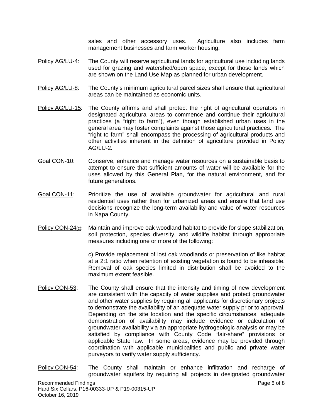sales and other accessory uses. Agriculture also includes farm management businesses and farm worker housing.

- Policy AG/LU-4: The County will reserve agricultural lands for agricultural use including lands used for grazing and watershed/open space, except for those lands which are shown on the Land Use Map as planned for urban development.
- Policy AG/LU-8: The County's minimum agricultural parcel sizes shall ensure that agricultural areas can be maintained as economic units.
- Policy AG/LU-15: The County affirms and shall protect the right of agricultural operators in designated agricultural areas to commence and continue their agricultural practices (a "right to farm"), even though established urban uses in the general area may foster complaints against those agricultural practices. The "right to farm" shall encompass the processing of agricultural products and other activities inherent in the definition of agriculture provided in Policy AG/LU-2.
- Goal CON-10: Conserve, enhance and manage water resources on a sustainable basis to attempt to ensure that sufficient amounts of water will be available for the uses allowed by this General Plan, for the natural environment, and for future generations.
- Goal CON-11: Prioritize the use of available groundwater for agricultural and rural residential uses rather than for urbanized areas and ensure that land use decisions recognize the long-term availability and value of water resources in Napa County.
- Policy CON-24<sub>(c)</sub>. Maintain and improve oak woodland habitat to provide for slope stabilization, soil protection, species diversity, and wildlife habitat through appropriate measures including one or more of the following:

c) Provide replacement of lost oak woodlands or preservation of like habitat at a 2:1 ratio when retention of existing vegetation is found to be infeasible. Removal of oak species limited in distribution shall be avoided to the maximum extent feasible.

- Policy CON-53: The County shall ensure that the intensity and timing of new development are consistent with the capacity of water supplies and protect groundwater and other water supplies by requiring all applicants for discretionary projects to demonstrate the availability of an adequate water supply prior to approval. Depending on the site location and the specific circumstances, adequate demonstration of availability may include evidence or calculation of groundwater availability via an appropriate hydrogeologic analysis or may be satisfied by compliance with County Code "fair-share" provisions or applicable State law. In some areas, evidence may be provided through coordination with applicable municipalities and public and private water purveyors to verify water supply sufficiency.
- Recommended Findings **Page 6 of 8** and 2008 **Page 6 of 8** and 2008 **Page 6 of 8** Hard Six Cellars; P16-00333-UP & P19-00315-UP October 16, 2019 Policy CON-54: The County shall maintain or enhance infiltration and recharge of groundwater aquifers by requiring all projects in designated groundwater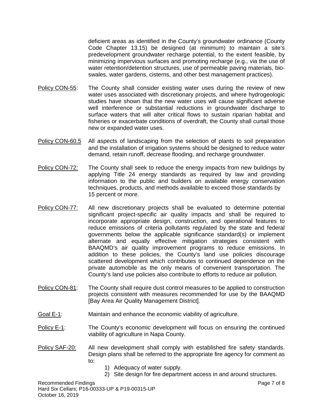deficient areas as identified in the County's groundwater ordinance (County Code Chapter 13.15) be designed (at minimum) to maintain a site's predevelopment groundwater recharge potential, to the extent feasible, by minimizing impervious surfaces and promoting recharge (e.g., via the use of water retention/detention structures, use of permeable paving materials, bioswales, water gardens, cisterns, and other best management practices).

- Policy CON-55: The County shall consider existing water uses during the review of new water uses associated with discretionary projects, and where hydrogeologic studies have shown that the new water uses will cause significant adverse well interference or substantial reductions in groundwater discharge to surface waters that will alter critical flows to sustain riparian habitat and fisheries or exacerbate conditions of overdraft, the County shall curtail those new or expanded water uses.
- Policy CON-60.5 All aspects of landscaping from the selection of plants to soil preparation and the installation of irrigation systems should be designed to reduce water demand, retain runoff, decrease flooding, and recharge groundwater.
- Policy CON-72: The County shall seek to reduce the energy impacts from new buildings by applying Title 24 energy standards as required by law and providing information to the public and builders on available energy conservation techniques, products, and methods available to exceed those standards by 15 percent or more.
- Policy CON-77: All new discretionary projects shall be evaluated to determine potential significant project-specific air quality impacts and shall be required to incorporate appropriate design, construction, and operational features to reduce emissions of criteria pollutants regulated by the state and federal governments below the applicable significance standard(s) or implement alternate and equally effective mitigation strategies consistent with BAAQMD's air quality improvement programs to reduce emissions. In addition to these policies, the County's land use policies discourage scattered development which contributes to continued dependence on the private automobile as the only means of convenient transportation. The County's land use policies also contribute to efforts to reduce air pollution.
- Policy CON-81: The County shall require dust control measures to be applied to construction projects consistent with measures recommended for use by the BAAQMD [Bay Area Air Quality Management District].
- Goal E-1: Maintain and enhance the economic viability of agriculture.
- Policy E-1: The County's economic development will focus on ensuring the continued viability of agriculture in Napa County.
- Policy SAF-20: All new development shall comply with established fire safety standards. Design plans shall be referred to the appropriate fire agency for comment as to:
	- 1) Adequacy of water supply.
	- 2) Site design for fire department access in and around structures.